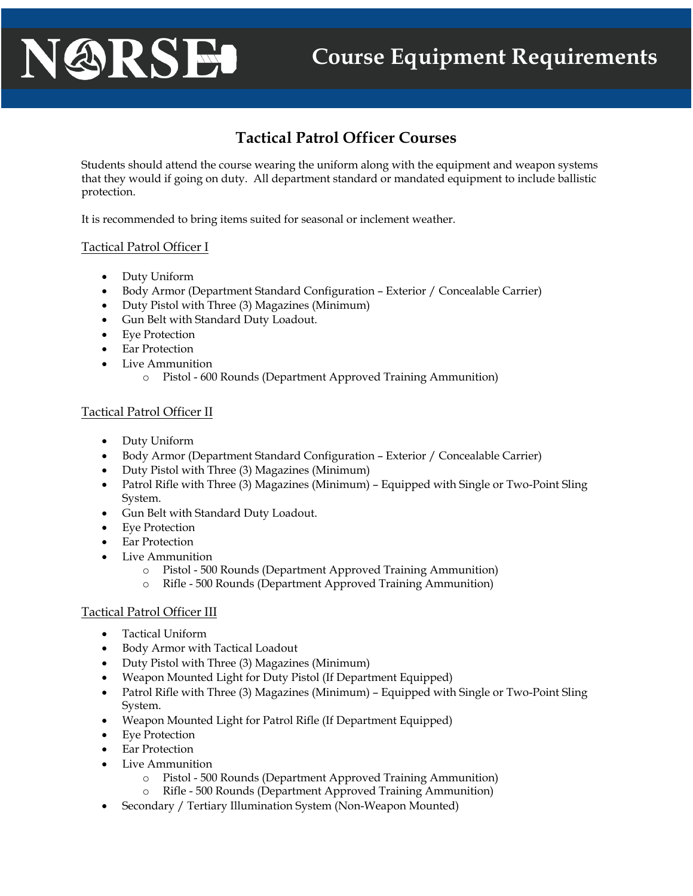# **Course Equipment Requirements**

# **Tactical Patrol Officer Courses**

Students should attend the course wearing the uniform along with the equipment and weapon systems that they would if going on duty. All department standard or mandated equipment to include ballistic protection.

It is recommended to bring items suited for seasonal or inclement weather.

## Tactical Patrol Officer I

NARSE

- Duty Uniform
- Body Armor (Department Standard Configuration Exterior / Concealable Carrier)
- Duty Pistol with Three (3) Magazines (Minimum)
- Gun Belt with Standard Duty Loadout.
- Eye Protection
- **Ear Protection**
- Live Ammunition
	- o Pistol 600 Rounds (Department Approved Training Ammunition)

### Tactical Patrol Officer II

- Duty Uniform
- Body Armor (Department Standard Configuration Exterior / Concealable Carrier)
- Duty Pistol with Three (3) Magazines (Minimum)
- Patrol Rifle with Three (3) Magazines (Minimum) Equipped with Single or Two-Point Sling System.
- Gun Belt with Standard Duty Loadout.
- Eye Protection
- **Ear Protection**
- Live Ammunition
	- o Pistol 500 Rounds (Department Approved Training Ammunition)
	- o Rifle 500 Rounds (Department Approved Training Ammunition)

### Tactical Patrol Officer III

- Tactical Uniform
- Body Armor with Tactical Loadout
- Duty Pistol with Three (3) Magazines (Minimum)
- Weapon Mounted Light for Duty Pistol (If Department Equipped)
- Patrol Rifle with Three (3) Magazines (Minimum) Equipped with Single or Two-Point Sling System.
- Weapon Mounted Light for Patrol Rifle (If Department Equipped)
- Eye Protection
- Ear Protection
- Live Ammunition
	- o Pistol 500 Rounds (Department Approved Training Ammunition)
	- o Rifle 500 Rounds (Department Approved Training Ammunition)
- Secondary / Tertiary Illumination System (Non-Weapon Mounted)